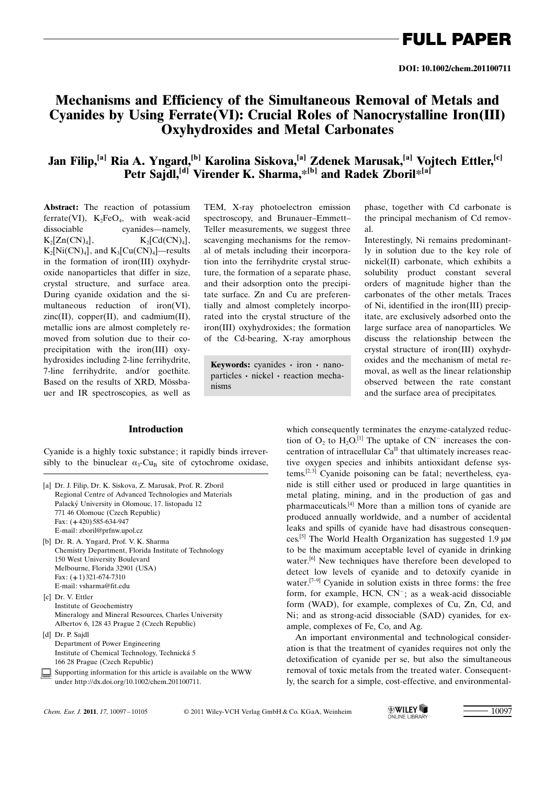FULL PAPER

## Mechanisms and Efficiency of the Simultaneous Removal of Metals and Cyanides by Using Ferrate(VI): Crucial Roles of Nanocrystalline Iron(III) Oxyhydroxides and Metal Carbonates

## Jan Filip,<sup>[a]</sup> Ria A. Yngard,<sup>[b]</sup> Karolina Siskova,<sup>[a]</sup> Zdenek Marusak,<sup>[a]</sup> Vojtech Ettler,<sup>[c]</sup> Petr Sajdl,<sup>[d]</sup> Virender K. Sharma, $*$ [b] and Radek Zboril $*$ <sup>[a]</sup>

Abstract: The reaction of potassium ferrate(VI),  $K_2FeO_4$ , with weak-acid dissociable cyanides—namely,  $K_2[Zn(CN)_4],$   $K_2[Cd(CN)_4],$  $K_2[Ni(CN)_4]$ , and  $K_3[Cu(CN)_4]$ —results in the formation of iron(III) oxyhydroxide nanoparticles that differ in size, crystal structure, and surface area. During cyanide oxidation and the simultaneous reduction of iron(VI),  $zinc(II)$ , copper(II), and cadmium(II), metallic ions are almost completely removed from solution due to their coprecipitation with the iron(III) oxyhydroxides including 2-line ferrihydrite, 7-line ferrihydrite, and/or goethite. Based on the results of XRD, Mössbauer and IR spectroscopies, as well as

TEM, X-ray photoelectron emission spectroscopy, and Brunauer–Emmett– Teller measurements, we suggest three scavenging mechanisms for the removal of metals including their incorporation into the ferrihydrite crystal structure, the formation of a separate phase, and their adsorption onto the precipitate surface. Zn and Cu are preferentially and almost completely incorporated into the crystal structure of the iron(III) oxyhydroxides; the formation of the Cd-bearing, X-ray amorphous

Keywords: cyanides · iron · nanoparticles · nickel · reaction mechanisms

### Introduction

Cyanide is a highly toxic substance; it rapidly binds irreversibly to the binuclear  $\alpha_3$ -Cu<sub>B</sub> site of cytochrome oxidase,

- [a] Dr. J. Filip, Dr. K. Siskova, Z. Marusak, Prof. R. Zboril Regional Centre of Advanced Technologies and Materials Palacký University in Olomouc, 17. listopadu 12 771 46 Olomouc (Czech Republic) Fax: (+420) 585-634-947 E-mail: zboril@prfnw.upol.cz
- [b] Dr. R. A. Yngard, Prof. V. K. Sharma Chemistry Department, Florida Institute of Technology 150 West University Boulevard Melbourne, Florida 32901 (USA) Fax: (+1) 321-674-7310 E-mail: vsharma@fit.edu
- [c] Dr. V. Ettler Institute of Geochemistry Mineralogy and Mineral Resources, Charles University Albertov 6, 128 43 Prague 2 (Czech Republic)
- [d] Dr. P. Sajdl Department of Power Engineering Institute of Chemical Technology, Technická 5 166 28 Prague (Czech Republic)
- Supporting information for this article is available on the WWW under http://dx.doi.org/10.1002/chem.201100711.

detect low levels of cyanide and to detoxify cyanide in water.[7–9] Cyanide in solution exists in three forms: the free form, for example, HCN, CN<sup>-</sup>; as a weak-acid dissociable form (WAD), for example, complexes of Cu, Zn, Cd, and Ni; and as strong-acid dissociable (SAD) cyanides, for example, complexes of Fe, Co, and Ag.

An important environmental and technological consideration is that the treatment of cyanides requires not only the detoxification of cyanide per se, but also the simultaneous removal of toxic metals from the treated water. Consequently, the search for a simple, cost-effective, and environmental-

which consequently terminates the enzyme-catalyzed reduction of  $O_2$  to  $H_2O^{[1]}$  The uptake of  $CN^-$  increases the concentration of intracellular  $Ca^{II}$  that ultimately increases reactive oxygen species and inhibits antioxidant defense systems.<sup>[2,3]</sup> Cyanide poisoning can be fatal; nevertheless, cyanide is still either used or produced in large quantities in metal plating, mining, and in the production of gas and pharmaceuticals.[4] More than a million tons of cyanide are produced annually worldwide, and a number of accidental leaks and spills of cyanide have had disastrous consequences.<sup>[5]</sup> The World Health Organization has suggested 1.9  $\mu$ M to be the maximum acceptable level of cyanide in drinking water.<sup>[6]</sup> New techniques have therefore been developed to

*Chem. Eur. J.* 2011, 17, 10097 – 10105 2011 Wiley-VCH Verlag GmbH & Co. KGaA, Weinheim  $\bigotimes_{ONLINE LIBRARY} \blacksquare$  10097

phase, together with Cd carbonate is the principal mechanism of Cd removal.

Interestingly, Ni remains predominantly in solution due to the key role of nickel(II) carbonate, which exhibits a solubility product constant several orders of magnitude higher than the carbonates of the other metals. Traces of Ni, identified in the iron(III) precipitate, are exclusively adsorbed onto the large surface area of nanoparticles. We discuss the relationship between the crystal structure of iron(III) oxyhydroxides and the mechanism of metal removal, as well as the linear relationship observed between the rate constant and the surface area of precipitates.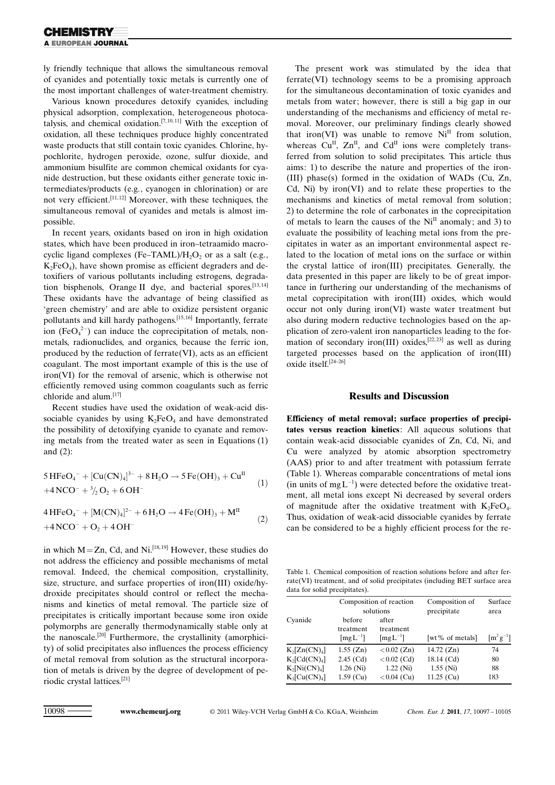ly friendly technique that allows the simultaneous removal of cyanides and potentially toxic metals is currently one of the most important challenges of water-treatment chemistry.

Various known procedures detoxify cyanides, including physical adsorption, complexation, heterogeneous photocatalysis, and chemical oxidation.<sup>[7,10,11]</sup> With the exception of oxidation, all these techniques produce highly concentrated waste products that still contain toxic cyanides. Chlorine, hypochlorite, hydrogen peroxide, ozone, sulfur dioxide, and ammonium bisulfite are common chemical oxidants for cyanide destruction, but these oxidants either generate toxic intermediates/products (e.g., cyanogen in chlorination) or are not very efficient.[11, 12] Moreover, with these techniques, the simultaneous removal of cyanides and metals is almost impossible.

In recent years, oxidants based on iron in high oxidation states, which have been produced in iron–tetraamido macrocyclic ligand complexes (Fe–TAML)/ $H_2O_2$  or as a salt (e.g.,  $K_2FeO_4$ ), have shown promise as efficient degraders and detoxifiers of various pollutants including estrogens, degradation bisphenols, Orange II dye, and bacterial spores.<sup>[13,14]</sup> These oxidants have the advantage of being classified as 'green chemistry' and are able to oxidize persistent organic pollutants and kill hardy pathogens.<sup>[15,16]</sup> Importantly, ferrate ion (Fe $O_4^2$ ) can induce the coprecipitation of metals, nonmetals, radionuclides, and organics, because the ferric ion, produced by the reduction of ferrate(VI), acts as an efficient coagulant. The most important example of this is the use of iron(VI) for the removal of arsenic, which is otherwise not efficiently removed using common coagulants such as ferric chloride and alum.[17]

Recent studies have used the oxidation of weak-acid dissociable cyanides by using  $K_2FeO_4$  and have demonstrated the possibility of detoxifying cyanide to cyanate and removing metals from the treated water as seen in Equations (1) and (2):

$$
5\,\text{HFeO}_4^- + [\text{Cu(CN)}_4]^{3-} + 8\,\text{H}_2\text{O} \rightarrow 5\,\text{Fe(OH)}_3 + \text{Cu}^{II}
$$
  
+4\,\text{NCO}^- + <sup>3</sup>/<sub>2</sub> O<sub>2</sub> + 6\,\text{OH}^- (1)

$$
4\,\text{HFeO}_4^- + \left[ \text{M(CN)}_4 \right]^{2-} + 6\,\text{H}_2\text{O} \rightarrow 4\,\text{Fe(OH)}_3 + \text{M}^{\text{II}} \tag{2}
$$
  
+4\,\text{NCO}^- + \text{O}\_2 + 4\,\text{OH}^-

in which  $M = Zn$ , Cd, and Ni.<sup>[18, 19]</sup> However, these studies do not address the efficiency and possible mechanisms of metal removal. Indeed, the chemical composition, crystallinity, size, structure, and surface properties of iron(III) oxide/hydroxide precipitates should control or reflect the mechanisms and kinetics of metal removal. The particle size of precipitates is critically important because some iron oxide polymorphs are generally thermodynamically stable only at the nanoscale.[20] Furthermore, the crystallinity (amorphicity) of solid precipitates also influences the process efficiency of metal removal from solution as the structural incorporation of metals is driven by the degree of development of periodic crystal lattices.[21]

The present work was stimulated by the idea that ferrate(VI) technology seems to be a promising approach for the simultaneous decontamination of toxic cyanides and metals from water; however, there is still a big gap in our understanding of the mechanisms and efficiency of metal removal. Moreover, our preliminary findings clearly showed that iron(VI) was unable to remove  $Ni<sup>II</sup>$  from solution, whereas  $Cu^{II}$ ,  $Zn^{II}$ , and  $Cd^{II}$  ions were completely transferred from solution to solid precipitates. This article thus aims: 1) to describe the nature and properties of the iron- (III) phase(s) formed in the oxidation of WADs (Cu, Zn, Cd, Ni) by iron(VI) and to relate these properties to the mechanisms and kinetics of metal removal from solution; 2) to determine the role of carbonates in the coprecipitation of metals to learn the causes of the  $Ni<sup>H</sup>$  anomaly; and 3) to evaluate the possibility of leaching metal ions from the precipitates in water as an important environmental aspect related to the location of metal ions on the surface or within the crystal lattice of iron(III) precipitates. Generally, the data presented in this paper are likely to be of great importance in furthering our understanding of the mechanisms of metal coprecipitation with iron(III) oxides, which would occur not only during iron(VI) waste water treatment but also during modern reductive technologies based on the application of zero-valent iron nanoparticles leading to the formation of secondary iron(III) oxides, $[22, 23]$  as well as during targeted processes based on the application of iron(III) oxide itself.[24–26]

#### Results and Discussion

Efficiency of metal removal; surface properties of precipitates versus reaction kinetics: All aqueous solutions that contain weak-acid dissociable cyanides of Zn, Cd, Ni, and Cu were analyzed by atomic absorption spectrometry (AAS) prior to and after treatment with potassium ferrate (Table 1). Whereas comparable concentrations of metal ions (in units of  $mgL^{-1}$ ) were detected before the oxidative treatment, all metal ions except Ni decreased by several orders of magnitude after the oxidative treatment with  $K_2FeO_4$ . Thus, oxidation of weak-acid dissociable cyanides by ferrate can be considered to be a highly efficient process for the re-

Table 1. Chemical composition of reaction solutions before and after ferrate(VI) treatment, and of solid precipitates (including BET surface area data for solid precipitates).

|                              | Composition of reaction                                |                                                       | Composition of  | Surface                                |
|------------------------------|--------------------------------------------------------|-------------------------------------------------------|-----------------|----------------------------------------|
|                              | solutions                                              |                                                       | precipitate     | area                                   |
| Cyanide                      | before<br>treatment<br>$\left[\text{mg} L^{-1}\right]$ | after<br>treatment<br>$\left[\text{mg} L^{-1}\right]$ | [wt% of metals] | $\left[\text{m}^2\text{g}^{-1}\right]$ |
| $K_2[Zn(CN)_4]$              | $1.55$ (Zn)                                            | $< 0.02$ (Zn)                                         | 14.72 $(Zn)$    | 74                                     |
| $K_2[Cd(CN)_4]$              | $2.45$ (Cd)                                            | $< 0.02$ (Cd)                                         | 18.14 (Cd)      | 80                                     |
| $K_2[Ni(CN)_4]$              | $1.26$ (Ni)                                            | $1.22$ (Ni)                                           | $1.55$ (Ni)     | 88                                     |
| $K_3$ [Cu(CN) <sub>4</sub> ] | $1.59$ (Cu)                                            | $< 0.04$ (Cu)                                         | $11.25$ (Cu)    | 183                                    |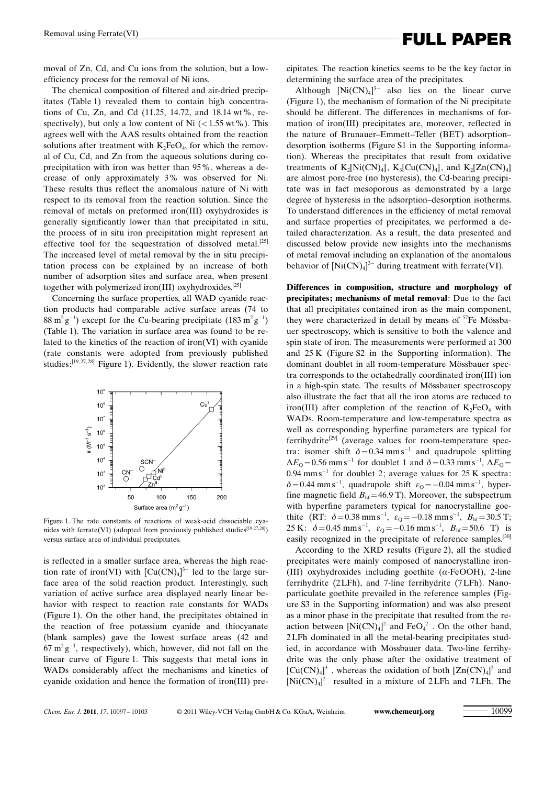# Removal using Ferrate(VI) **Example 2 FULL PAPER**

moval of Zn, Cd, and Cu ions from the solution, but a lowefficiency process for the removal of Ni ions.

The chemical composition of filtered and air-dried precipitates (Table 1) revealed them to contain high concentrations of Cu, Zn, and Cd (11.25, 14.72, and 18.14 wt%, respectively), but only a low content of Ni  $\left($  < 1.55 wt %). This agrees well with the AAS results obtained from the reaction solutions after treatment with  $K_2FeO_4$ , for which the removal of Cu, Cd, and Zn from the aqueous solutions during coprecipitation with iron was better than 95%, whereas a decrease of only approximately 3% was observed for Ni. These results thus reflect the anomalous nature of Ni with respect to its removal from the reaction solution. Since the removal of metals on preformed iron(III) oxyhydroxides is generally significantly lower than that precipitated in situ, the process of in situ iron precipitation might represent an effective tool for the sequestration of dissolved metal.<sup>[25]</sup> The increased level of metal removal by the in situ precipitation process can be explained by an increase of both number of adsorption sites and surface area, when present together with polymerized iron(III) oxyhydroxides.[25]

Concerning the surface properties, all WAD cyanide reaction products had comparable active surface areas (74 to  $88 \text{ m}^2 \text{g}^{-1}$ ) except for the Cu-bearing precipitate  $(183 \text{ m}^2 \text{g}^{-1})$ (Table 1). The variation in surface area was found to be related to the kinetics of the reaction of iron(VI) with cyanide (rate constants were adopted from previously published studies; $[19, 27, 28]$  Figure 1). Evidently, the slower reaction rate



Figure 1. The rate constants of reactions of weak-acid dissociable cyanides with ferrate(VI) (adopted from previously published studies<sup>[19,27,28]</sup>) versus surface area of individual precipitates.

is reflected in a smaller surface area, whereas the high reaction rate of iron(VI) with  $\left[\text{Cu(CN)}_4\right]^{3-}$  led to the large surface area of the solid reaction product. Interestingly, such variation of active surface area displayed nearly linear behavior with respect to reaction rate constants for WADs (Figure 1). On the other hand, the precipitates obtained in the reaction of free potassium cyanide and thiocyanate (blank samples) gave the lowest surface areas (42 and  $67 \text{ m}^2 \text{ g}^{-1}$ , respectively), which, however, did not fall on the linear curve of Figure 1. This suggests that metal ions in WADs considerably affect the mechanisms and kinetics of cyanide oxidation and hence the formation of iron(III) precipitates. The reaction kinetics seems to be the key factor in determining the surface area of the precipitates.

Although  $[Ni(CN)<sub>4</sub>]$ <sup>3-</sup> also lies on the linear curve (Figure 1), the mechanism of formation of the Ni precipitate should be different. The differences in mechanisms of formation of iron(III) precipitates are, moreover, reflected in the nature of Brunauer–Emmett–Teller (BET) adsorption– desorption isotherms (Figure S1 in the Supporting information). Whereas the precipitates that result from oxidative treatments of  $K_2[Ni(CN)_4]$ ,  $K_3[Cu(CN)_4]$ , and  $K_2[Zn(CN)_4]$ are almost pore-free (no hysteresis), the Cd-bearing precipitate was in fact mesoporous as demonstrated by a large degree of hysteresis in the adsorption–desorption isotherms. To understand differences in the efficiency of metal removal and surface properties of precipitates, we performed a detailed characterization. As a result, the data presented and discussed below provide new insights into the mechanisms of metal removal including an explanation of the anomalous behavior of  $[Ni(CN)<sub>4</sub>]$ <sup>3-</sup> during treatment with ferrate(VI).

Differences in composition, structure and morphology of precipitates; mechanisms of metal removal: Due to the fact that all precipitates contained iron as the main component, they were characterized in detail by means of  $57Fe$  Mössbauer spectroscopy, which is sensitive to both the valence and spin state of iron. The measurements were performed at 300 and 25 K (Figure S2 in the Supporting information). The dominant doublet in all room-temperature Mössbauer spectra corresponds to the octahedrally coordinated iron(III) ion in a high-spin state. The results of Mössbauer spectroscopy also illustrate the fact that all the iron atoms are reduced to iron(III) after completion of the reaction of  $K_2FeO_4$  with WADs. Room-temperature and low-temperature spectra as well as corresponding hyperfine parameters are typical for ferrihydrite<sup>[29]</sup> (average values for room-temperature spectra: isomer shift  $\delta = 0.34$  mm s<sup>-1</sup> and quadrupole splitting  $\Delta E_{\rm Q}$  = 0.56 mm s<sup>-1</sup> for doublet 1 and  $\delta$  = 0.33 mm s<sup>-1</sup>,  $\Delta E_{\rm Q}$  =  $0.94$  mm s<sup>-1</sup> for doublet 2; average values for 25 K spectra:  $\delta = 0.44$  mm s<sup>-1</sup>, quadrupole shift  $\varepsilon_{\rm Q} = -0.04$  mm s<sup>-1</sup>, hyperfine magnetic field  $B<sub>hf</sub> = 46.9$  T). Moreover, the subspectrum with hyperfine parameters typical for nanocrystalline goethite (RT:  $\delta = 0.38 \text{ mm s}^{-1}$ ,  $\varepsilon_{\text{Q}} = -0.18 \text{ mm s}^{-1}$ ,  $B_{\text{hf}} = 30.5 \text{ T}$ ; 25 K:  $\delta = 0.45$  mm s<sup>-1</sup>,  $\varepsilon_{\text{Q}} = -0.16$  mm s<sup>-1</sup>,  $B_{\text{hf}} = 50.6$  T) is easily recognized in the precipitate of reference samples.<sup>[30]</sup>

According to the XRD results (Figure 2), all the studied precipitates were mainly composed of nanocrystalline iron- (III) oxyhydroxides including goethite ( $\alpha$ -FeOOH), 2-line ferrihydrite (2LFh), and 7-line ferrihydrite (7LFh). Nanoparticulate goethite prevailed in the reference samples (Figure S3 in the Supporting information) and was also present as a minor phase in the precipitate that resulted from the reaction between  $[Ni(CN)<sub>4</sub>]^{2}$  and FeO<sub>4</sub><sup>2</sup>. On the other hand, 2LFh dominated in all the metal-bearing precipitates studied, in accordance with Mössbauer data. Two-line ferrihydrite was the only phase after the oxidative treatment of  $[Cu(CN)<sub>4</sub>]<sup>3-</sup>$ , whereas the oxidation of both  $[Zn(CN)<sub>4</sub>]<sup>2-</sup>$  and  $[Ni(CN)<sub>4</sub>]$ <sup>2-</sup> resulted in a mixture of 2LFh and 7LFh. The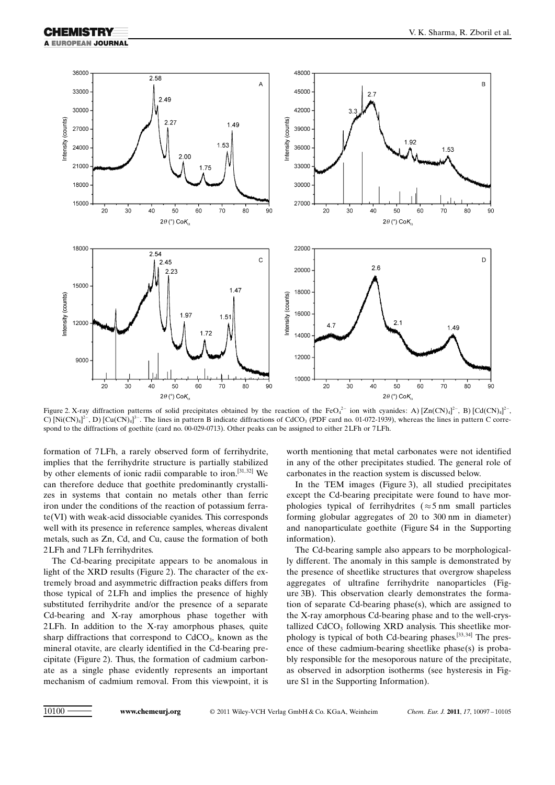

Figure 2. X-ray diffraction patterns of solid precipitates obtained by the reaction of the FeO<sub>4</sub><sup>2-</sup> ion with cyanides: A) [Zn(CN)<sub>4</sub>]<sup>2-</sup>, B) [Cd(CN)<sub>4</sub>]<sup>2-</sup>, C)  $[Ni(CN)_4]^2$ , D)  $[Cu(CN)_4]^3$ . The lines in pattern B indicate diffractions of CdCO<sub>3</sub> (PDF card no. 01-072-1939), whereas the lines in pattern C correspond to the diffractions of goethite (card no. 00-029-0713). Other peaks can be assigned to either 2LFh or 7LFh.

formation of 7LFh, a rarely observed form of ferrihydrite, implies that the ferrihydrite structure is partially stabilized by other elements of ionic radii comparable to iron.<sup>[31,32]</sup> We can therefore deduce that goethite predominantly crystallizes in systems that contain no metals other than ferric iron under the conditions of the reaction of potassium ferrate(VI) with weak-acid dissociable cyanides. This corresponds well with its presence in reference samples, whereas divalent metals, such as Zn, Cd, and Cu, cause the formation of both 2LFh and 7LFh ferrihydrites.

The Cd-bearing precipitate appears to be anomalous in light of the XRD results (Figure 2). The character of the extremely broad and asymmetric diffraction peaks differs from those typical of 2LFh and implies the presence of highly substituted ferrihydrite and/or the presence of a separate Cd-bearing and X-ray amorphous phase together with 2LFh. In addition to the X-ray amorphous phases, quite sharp diffractions that correspond to  $CdCO<sub>3</sub>$ , known as the mineral otavite, are clearly identified in the Cd-bearing precipitate (Figure 2). Thus, the formation of cadmium carbonate as a single phase evidently represents an important mechanism of cadmium removal. From this viewpoint, it is worth mentioning that metal carbonates were not identified in any of the other precipitates studied. The general role of carbonates in the reaction system is discussed below.

In the TEM images (Figure 3), all studied precipitates except the Cd-bearing precipitate were found to have morphologies typical of ferrihydrites ( $\approx$  5 nm small particles forming globular aggregates of 20 to 300 nm in diameter) and nanoparticulate goethite (Figure S4 in the Supporting information).

The Cd-bearing sample also appears to be morphologically different. The anomaly in this sample is demonstrated by the presence of sheetlike structures that overgrow shapeless aggregates of ultrafine ferrihydrite nanoparticles (Figure 3B). This observation clearly demonstrates the formation of separate Cd-bearing phase(s), which are assigned to the X-ray amorphous Cd-bearing phase and to the well-crystallized  $CdCO<sub>3</sub>$  following XRD analysis. This sheetlike morphology is typical of both Cd-bearing phases.[33, 34] The presence of these cadmium-bearing sheetlike phase(s) is probably responsible for the mesoporous nature of the precipitate, as observed in adsorption isotherms (see hysteresis in Figure S1 in the Supporting Information).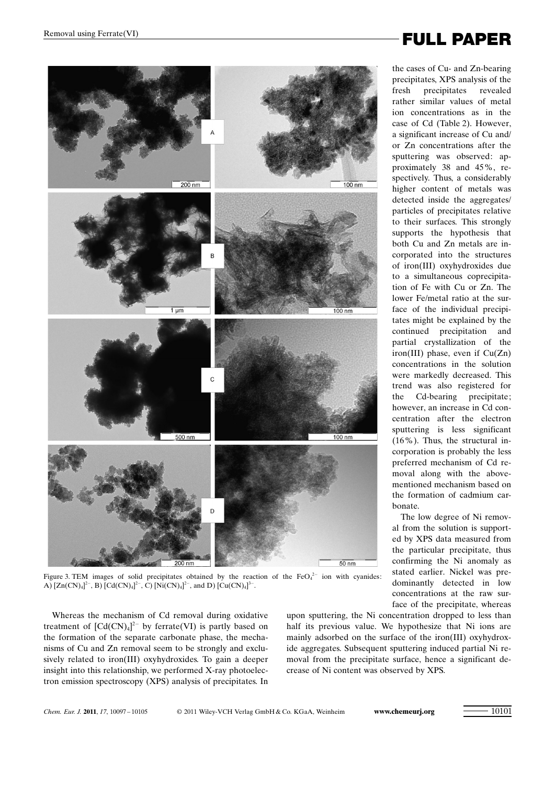

Figure 3. TEM images of solid precipitates obtained by the reaction of the  $FeO<sub>4</sub><sup>2-</sup>$  ion with cyanides: A)  $[Zn(CN)_4]^2$ , B)  $[Cd(CN)_4]^2$ , C)  $[Ni(CN)_4]^2$ , and D)  $[Cu(CN)_4]^3$ .

Whereas the mechanism of Cd removal during oxidative treatment of  $[Cd(CN)<sub>4</sub>]<sup>2-</sup>$  by ferrate(VI) is partly based on the formation of the separate carbonate phase, the mechanisms of Cu and Zn removal seem to be strongly and exclusively related to iron(III) oxyhydroxides. To gain a deeper insight into this relationship, we performed X-ray photoelectron emission spectroscopy (XPS) analysis of precipitates. In

upon sputtering, the Ni concentration dropped to less than half its previous value. We hypothesize that Ni ions are mainly adsorbed on the surface of the iron(III) oxyhydroxide aggregates. Subsequent sputtering induced partial Ni removal from the precipitate surface, hence a significant decrease of Ni content was observed by XPS.

Removal using Ferrate(VI) **Example 2 FULL PAPER** 

the cases of Cu- and Zn-bearing precipitates, XPS analysis of the fresh precipitates revealed rather similar values of metal ion concentrations as in the case of Cd (Table 2). However, a significant increase of Cu and/ or Zn concentrations after the sputtering was observed: approximately 38 and 45%, respectively. Thus, a considerably higher content of metals was detected inside the aggregates/ particles of precipitates relative to their surfaces. This strongly supports the hypothesis that both Cu and Zn metals are incorporated into the structures of iron(III) oxyhydroxides due to a simultaneous coprecipitation of Fe with Cu or Zn. The lower Fe/metal ratio at the surface of the individual precipitates might be explained by the continued precipitation and partial crystallization of the iron(III) phase, even if Cu(Zn) concentrations in the solution were markedly decreased. This trend was also registered for the Cd-bearing precipitate; however, an increase in Cd concentration after the electron sputtering is less significant (16%). Thus, the structural incorporation is probably the less preferred mechanism of Cd removal along with the abovementioned mechanism based on the formation of cadmium carbonate.

The low degree of Ni removal from the solution is supported by XPS data measured from the particular precipitate, thus confirming the Ni anomaly as stated earlier. Nickel was predominantly detected in low concentrations at the raw surface of the precipitate, whereas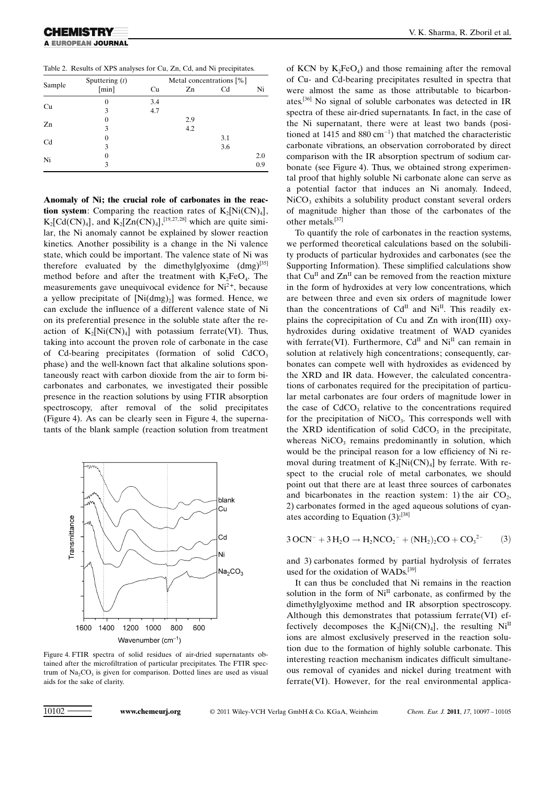Table 2. Results of XPS analyses for Cu, Zn, Cd, and Ni precipitates.

| Sample | Sputtering $(t)$ | Metal concentrations [%] |     |     |     |  |
|--------|------------------|--------------------------|-----|-----|-----|--|
|        | [min]            | Cu                       | Zn  | Cd  | Ni  |  |
| Cu     | $\theta$         | 3.4                      |     |     |     |  |
|        | 3                | 4.7                      |     |     |     |  |
| Zn     | 0                |                          | 2.9 |     |     |  |
|        | 3                |                          | 4.2 |     |     |  |
| Cd     | 0                |                          |     | 3.1 |     |  |
|        | 3                |                          |     | 3.6 |     |  |
| Ni     | 0                |                          |     |     | 2.0 |  |
|        | 3                |                          |     |     | 0.9 |  |

Anomaly of Ni; the crucial role of carbonates in the reaction system: Comparing the reaction rates of  $K_2[Ni(CN)_4]$ ,  $K_2[Cd(CN)_4]$ , and  $K_2[Zn(CN)_4]$ ,<sup>[19,27,28]</sup> which are quite similar, the Ni anomaly cannot be explained by slower reaction kinetics. Another possibility is a change in the Ni valence state, which could be important. The valence state of Ni was therefore evaluated by the dimethylglyoxime  $(dmg)^{[35]}$ method before and after the treatment with  $K_2FeO_4$ . The measurements gave unequivocal evidence for  $Ni<sup>2+</sup>$ , because a yellow precipitate of  $[Ni(dmg)_2]$  was formed. Hence, we can exclude the influence of a different valence state of Ni on its preferential presence in the soluble state after the reaction of  $K_2[Ni(CN)_4]$  with potassium ferrate(VI). Thus, taking into account the proven role of carbonate in the case of Cd-bearing precipitates (formation of solid  $CdCO<sub>3</sub>$ phase) and the well-known fact that alkaline solutions spontaneously react with carbon dioxide from the air to form bicarbonates and carbonates, we investigated their possible presence in the reaction solutions by using FTIR absorption spectroscopy, after removal of the solid precipitates (Figure 4). As can be clearly seen in Figure 4, the supernatants of the blank sample (reaction solution from treatment



Figure 4. FTIR spectra of solid residues of air-dried supernatants obtained after the microfiltration of particular precipitates. The FTIR spectrum of  $Na_2CO_3$  is given for comparison. Dotted lines are used as visual aids for the sake of clarity.

of KCN by  $K_2FeO_4$ ) and those remaining after the removal of Cu- and Cd-bearing precipitates resulted in spectra that were almost the same as those attributable to bicarbonates.[36] No signal of soluble carbonates was detected in IR spectra of these air-dried supernatants. In fact, in the case of the Ni supernatant, there were at least two bands (positioned at 1415 and  $880 \text{ cm}^{-1}$ ) that matched the characteristic carbonate vibrations, an observation corroborated by direct comparison with the IR absorption spectrum of sodium carbonate (see Figure 4). Thus, we obtained strong experimental proof that highly soluble Ni carbonate alone can serve as a potential factor that induces an Ni anomaly. Indeed,  $NiCO<sub>3</sub>$  exhibits a solubility product constant several orders of magnitude higher than those of the carbonates of the other metals.[37]

To quantify the role of carbonates in the reaction systems, we performed theoretical calculations based on the solubility products of particular hydroxides and carbonates (see the Supporting Information). These simplified calculations show that  $Cu<sup>H</sup>$  and  $Zn<sup>H</sup>$  can be removed from the reaction mixture in the form of hydroxides at very low concentrations, which are between three and even six orders of magnitude lower than the concentrations of  $Cd<sup>II</sup>$  and  $Ni<sup>II</sup>$ . This readily explains the coprecipitation of Cu and Zn with iron(III) oxyhydroxides during oxidative treatment of WAD cyanides with ferrate(VI). Furthermore,  $Cd<sup>H</sup>$  and  $Ni<sup>H</sup>$  can remain in solution at relatively high concentrations; consequently, carbonates can compete well with hydroxides as evidenced by the XRD and IR data. However, the calculated concentrations of carbonates required for the precipitation of particular metal carbonates are four orders of magnitude lower in the case of  $CdCO<sub>3</sub>$  relative to the concentrations required for the precipitation of  $NiCO<sub>3</sub>$ . This corresponds well with the XRD identification of solid  $CdCO<sub>3</sub>$  in the precipitate, whereas  $NiCO<sub>3</sub>$  remains predominantly in solution, which would be the principal reason for a low efficiency of Ni removal during treatment of  $K_2[Ni(CN)_4]$  by ferrate. With respect to the crucial role of metal carbonates, we should point out that there are at least three sources of carbonates and bicarbonates in the reaction system: 1) the air  $CO<sub>2</sub>$ , 2) carbonates formed in the aged aqueous solutions of cyanates according to Equation (3):[38]

$$
3\,\text{OCN}^- + 3\,\text{H}_2\text{O} \rightarrow \text{H}_2\text{NCO}_2^- + (\text{NH}_2)_2\text{CO} + \text{CO}_3^{2-} \tag{3}
$$

and 3) carbonates formed by partial hydrolysis of ferrates used for the oxidation of WADs.[39]

It can thus be concluded that Ni remains in the reaction solution in the form of  $Ni<sup>H</sup>$  carbonate, as confirmed by the dimethylglyoxime method and IR absorption spectroscopy. Although this demonstrates that potassium ferrate(VI) effectively decomposes the  $K_2[Ni(CN)_4]$ , the resulting  $Ni<sup>II</sup>$ ions are almost exclusively preserved in the reaction solution due to the formation of highly soluble carbonate. This interesting reaction mechanism indicates difficult simultaneous removal of cyanides and nickel during treatment with ferrate(VI). However, for the real environmental applica-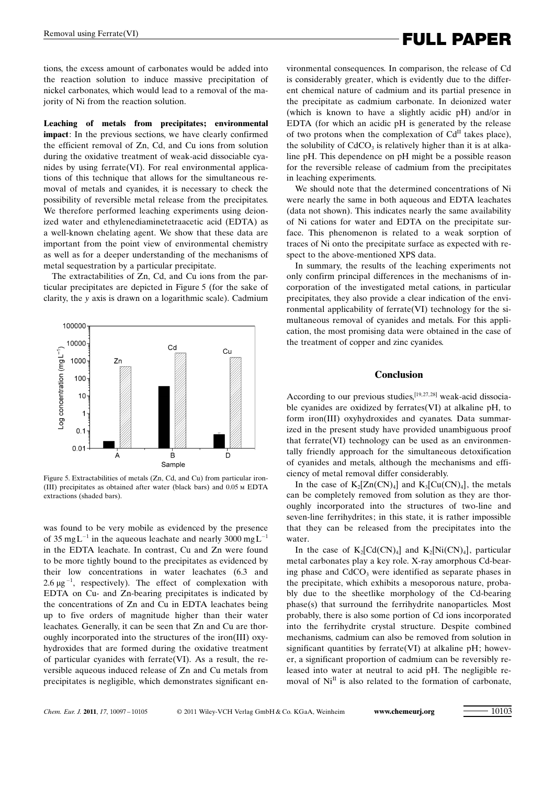# Removal using Ferrate(VI) **Example 2 FULL PAPER**

tions, the excess amount of carbonates would be added into the reaction solution to induce massive precipitation of nickel carbonates, which would lead to a removal of the majority of Ni from the reaction solution.

Leaching of metals from precipitates; environmental impact: In the previous sections, we have clearly confirmed the efficient removal of Zn, Cd, and Cu ions from solution during the oxidative treatment of weak-acid dissociable cyanides by using ferrate(VI). For real environmental applications of this technique that allows for the simultaneous removal of metals and cyanides, it is necessary to check the possibility of reversible metal release from the precipitates. We therefore performed leaching experiments using deionized water and ethylenediaminetetraacetic acid (EDTA) as a well-known chelating agent. We show that these data are important from the point view of environmental chemistry as well as for a deeper understanding of the mechanisms of metal sequestration by a particular precipitate.

The extractabilities of Zn, Cd, and Cu ions from the particular precipitates are depicted in Figure 5 (for the sake of clarity, the y axis is drawn on a logarithmic scale). Cadmium



Figure 5. Extractabilities of metals (Zn, Cd, and Cu) from particular iron- (III) precipitates as obtained after water (black bars) and 0.05 m EDTA extractions (shaded bars).

was found to be very mobile as evidenced by the presence of 35 mg  $L^{-1}$  in the aqueous leachate and nearly 3000 mg  $L^{-1}$ in the EDTA leachate. In contrast, Cu and Zn were found to be more tightly bound to the precipitates as evidenced by their low concentrations in water leachates (6.3 and 2.6  $\mu$ g<sup>-1</sup>, respectively). The effect of complexation with EDTA on Cu- and Zn-bearing precipitates is indicated by the concentrations of Zn and Cu in EDTA leachates being up to five orders of magnitude higher than their water leachates. Generally, it can be seen that Zn and Cu are thoroughly incorporated into the structures of the iron(III) oxyhydroxides that are formed during the oxidative treatment of particular cyanides with ferrate(VI). As a result, the reversible aqueous induced release of Zn and Cu metals from precipitates is negligible, which demonstrates significant environmental consequences. In comparison, the release of Cd is considerably greater, which is evidently due to the different chemical nature of cadmium and its partial presence in the precipitate as cadmium carbonate. In deionized water (which is known to have a slightly acidic pH) and/or in EDTA (for which an acidic pH is generated by the release of two protons when the complexation of  $Cd<sup>H</sup>$  takes place), the solubility of  $CdCO<sub>3</sub>$  is relatively higher than it is at alkaline pH. This dependence on pH might be a possible reason for the reversible release of cadmium from the precipitates in leaching experiments.

We should note that the determined concentrations of Ni were nearly the same in both aqueous and EDTA leachates (data not shown). This indicates nearly the same availability of Ni cations for water and EDTA on the precipitate surface. This phenomenon is related to a weak sorption of traces of Ni onto the precipitate surface as expected with respect to the above-mentioned XPS data.

In summary, the results of the leaching experiments not only confirm principal differences in the mechanisms of incorporation of the investigated metal cations, in particular precipitates, they also provide a clear indication of the environmental applicability of ferrate(VI) technology for the simultaneous removal of cyanides and metals. For this application, the most promising data were obtained in the case of the treatment of copper and zinc cyanides.

### Conclusion

According to our previous studies,<sup>[19,27,28]</sup> weak-acid dissociable cyanides are oxidized by ferrates(VI) at alkaline pH, to form iron(III) oxyhydroxides and cyanates. Data summarized in the present study have provided unambiguous proof that ferrate(VI) technology can be used as an environmentally friendly approach for the simultaneous detoxification of cyanides and metals, although the mechanisms and efficiency of metal removal differ considerably.

In the case of  $K_2[Zn(CN)_4]$  and  $K_3[Cu(CN)_4]$ , the metals can be completely removed from solution as they are thoroughly incorporated into the structures of two-line and seven-line ferrihydrites; in this state, it is rather impossible that they can be released from the precipitates into the water.

In the case of  $K_2[Cd(CN)_4]$  and  $K_2[Ni(CN)_4]$ , particular metal carbonates play a key role. X-ray amorphous Cd-bearing phase and CdCO<sub>3</sub> were identified as separate phases in the precipitate, which exhibits a mesoporous nature, probably due to the sheetlike morphology of the Cd-bearing phase(s) that surround the ferrihydrite nanoparticles. Most probably, there is also some portion of Cd ions incorporated into the ferrihydrite crystal structure. Despite combined mechanisms, cadmium can also be removed from solution in significant quantities by ferrate(VI) at alkaline pH; however, a significant proportion of cadmium can be reversibly released into water at neutral to acid pH. The negligible removal of  $Ni<sup>II</sup>$  is also related to the formation of carbonate,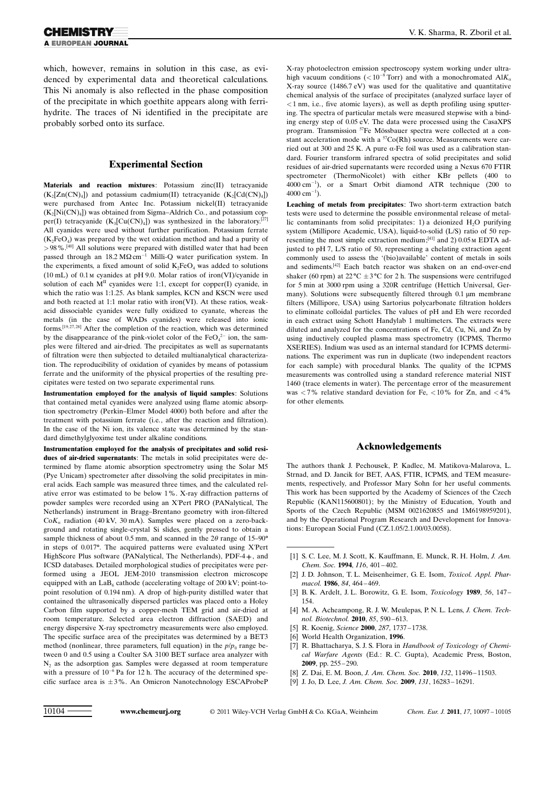which, however, remains in solution in this case, as evidenced by experimental data and theoretical calculations. This Ni anomaly is also reflected in the phase composition of the precipitate in which goethite appears along with ferrihydrite. The traces of Ni identified in the precipitate are probably sorbed onto its surface.

#### Experimental Section

Materials and reaction mixtures: Potassium zinc(II) tetracyanide  $(K_2[Zn(CN)_4])$  and potassium cadmium(II) tetracyanide  $(K_2[Cd(CN)_4])$ were purchased from Antec Inc. Potassium nickel(II) tetracyanide  $(K<sub>2</sub>[Ni(CN)<sub>4</sub>]$ ) was obtained from Sigma–Aldrich Co., and potassium copper(I) tetracyanide  $(K_3[Cu(CN)_4])$  was synthesized in the laboratory.<sup>[27]</sup> All cyanides were used without further purification. Potassium ferrate  $(K_2FeO_4)$  was prepared by the wet oxidation method and had a purity of >98%.<sup>[40]</sup> All solutions were prepared with distilled water that had been passed through an  $18.2 \text{ M}\Omega \text{cm}^{-1}$  Milli-Q water purification system. In the experiments, a fixed amount of solid  $K_2FeO_4$  was added to solutions (10 mL) of 0.1m cyanides at pH 9.0. Molar ratios of iron(VI)/cyanide in solution of each  $M<sup>H</sup>$  cyanides were 1:1, except for copper(I) cyanide, in which the ratio was 1:1.25. As blank samples, KCN and KSCN were used and both reacted at 1:1 molar ratio with iron(VI). At these ratios, weakacid dissociable cyanides were fully oxidized to cyanate, whereas the metals (in the case of WADs cyanides) were released into ionic forms.<sup>[19,27,28]</sup> After the completion of the reaction, which was determined by the disappearance of the pink-violet color of the  $FeO<sub>4</sub><sup>2-</sup>$  ion, the samples were filtered and air-dried. The precipitates as well as supernatants of filtration were then subjected to detailed multianalytical characterization. The reproducibility of oxidation of cyanides by means of potassium ferrate and the uniformity of the physical properties of the resulting precipitates were tested on two separate experimental runs.

Instrumentation employed for the analysis of liquid samples: Solutions that contained metal cyanides were analyzed using flame atomic absorption spectrometry (Perkin–Elmer Model 4000) both before and after the treatment with potassium ferrate (i.e., after the reaction and filtration). In the case of the Ni ion, its valence state was determined by the standard dimethylglyoxime test under alkaline conditions.

Instrumentation employed for the analysis of precipitates and solid residues of air-dried supernatants: The metals in solid precipitates were determined by flame atomic absorption spectrometry using the Solar M5 (Pye Unicam) spectrometer after dissolving the solid precipitates in mineral acids. Each sample was measured three times, and the calculated relative error was estimated to be below 1%. X-ray diffraction patterns of powder samples were recorded using an X'Pert PRO (PANalytical, The Netherlands) instrument in Bragg–Brentano geometry with iron-filtered  $CoK_a$  radiation (40 kV, 30 mA). Samples were placed on a zero-background and rotating single-crystal Si slides, gently pressed to obtain a sample thickness of about 0.5 mm, and scanned in the  $2\theta$  range of 15–90° in steps of 0.017°. The acquired patterns were evaluated using X'Pert HighScore Plus software (PANalytical, The Netherlands), PDF-4+, and ICSD databases. Detailed morphological studies of precipitates were performed using a JEOL JEM-2010 transmission electron microscope equipped with an  $LaB<sub>6</sub>$  cathode (accelerating voltage of 200 kV; point-topoint resolution of 0.194 nm). A drop of high-purity distilled water that contained the ultrasonically dispersed particles was placed onto a Holey Carbon film supported by a copper-mesh TEM grid and air-dried at room temperature. Selected area electron diffraction (SAED) and energy dispersive X-ray spectrometry measurements were also employed. The specific surface area of the precipitates was determined by a BET3 method (nonlinear, three parameters, full equation) in the  $p/p_0$  range between 0 and 0.5 using a Coulter SA 3100 BET surface area analyzer with  $N_2$  as the adsorption gas. Samples were degassed at room temperature with a pressure of  $10^{-6}$  Pa for 12 h. The accuracy of the determined specific surface area is  $\pm 3\%$ . An Omicron Nanotechnology ESCAProbeP

X-ray photoelectron emission spectroscopy system working under ultrahigh vacuum conditions ( $< 10^{-8}$  Torr) and with a monochromated Al $K_0$ X-ray source (1486.7 eV) was used for the qualitative and quantitative chemical analysis of the surface of precipitates (analyzed surface layer of  $<$ 1 nm, i.e., five atomic layers), as well as depth profiling using sputtering. The spectra of particular metals were measured stepwise with a binding energy step of 0.05 eV. The data were processed using the CasaXPS program. Transmission <sup>57</sup>Fe Mössbauer spectra were collected at a constant acceleration mode with a  ${}^{57}Co(Rh)$  source. Measurements were carried out at 300 and 25 K. A pure a-Fe foil was used as a calibration standard. Fourier transform infrared spectra of solid precipitates and solid residues of air-dried supernatants were recorded using a Nexus 670 FTIR spectrometer (ThermoNicolet) with either KBr pellets (400 to 4000 cm-1 ), or a Smart Orbit diamond ATR technique (200 to  $4000 \text{ cm}^{-1}$ ).

Leaching of metals from precipitates: Two short-term extraction batch tests were used to determine the possible environmental release of metallic contaminants from solid precipitates: 1) a deionized  $H_2O$  purifying system (Millipore Academic, USA), liquid-to-solid (L/S) ratio of 50 representing the most simple extraction medium;[41] and 2) 0.05m EDTA adjusted to pH 7, L/S ratio of 50, representing a chelating extraction agent commonly used to assess the '(bio)available' content of metals in soils and sediments.<sup>[42]</sup> Each batch reactor was shaken on an end-over-end shaker (60 rpm) at  $22^{\circ}C \pm 3^{\circ}C$  for 2 h. The suspensions were centrifuged for 5 min at 3000 rpm using a 320R centrifuge (Hettich Universal, Germany). Solutions were subsequently filtered through 0.1 µm membrane filters (Millipore, USA) using Sartorius polycarbonate filtration holders to eliminate colloidal particles. The values of pH and Eh were recorded in each extract using Schott Handylab 1 multimeters. The extracts were diluted and analyzed for the concentrations of Fe, Cd, Cu, Ni, and Zn by using inductively coupled plasma mass spectrometry (ICPMS, Thermo XSERIES). Indium was used as an internal standard for ICPMS determinations. The experiment was run in duplicate (two independent reactors for each sample) with procedural blanks. The quality of the ICPMS measurements was controlled using a standard reference material NIST 1460 (trace elements in water). The percentage error of the measurement was  $<$  7% relative standard deviation for Fe,  $<$  10% for Zn, and  $<$  4% for other elements.

#### Acknowledgements

The authors thank J. Pechousek, P. Kadlec, M. Matikova-Malarova, L. Strnad, and D. Jancik for BET, AAS, FTIR, ICPMS, and TEM measurements, respectively, and Professor Mary Sohn for her useful comments. This work has been supported by the Academy of Sciences of the Czech Republic (KAN115600801); by the Ministry of Education, Youth and Sports of the Czech Republic (MSM 0021620855 and 1M6198959201), and by the Operational Program Research and Development for Innovations: European Social Fund (CZ.1.05/2.1.00/03.0058).

- [1] S. C. Lee, M. J. Scott, K. Kauffmann, E. Munck, R. H. Holm, [J. Am.](http://dx.doi.org/10.1021/ja00080a058) [Chem. Soc.](http://dx.doi.org/10.1021/ja00080a058) 1994, 116, 401-402.
- [2] J. D. Johnson, T. L. Meisenheimer, G. E. Isom, [Toxicol. Appl. Phar](http://dx.doi.org/10.1016/0041-008X(86)90251-6)[macol.](http://dx.doi.org/10.1016/0041-008X(86)90251-6) 1986, 84, 464-469.
- [3] B. K. Ardelt, J. L. Borowitz, G. E. Isom, *[Toxicology](http://dx.doi.org/10.1016/0300-483X(89)90129-7)* 1989, 56, 147-[154.](http://dx.doi.org/10.1016/0300-483X(89)90129-7)
- [4] M. A. Acheampong, R. J. W. Meulepas, P. N. L. Lens, *[J. Chem. Tech](http://dx.doi.org/10.1002/jctb.2358)*[nol. Biotechnol.](http://dx.doi.org/10.1002/jctb.2358) 2010, 85, 590 – 613.
- [5] R. Koenig, [Science](http://dx.doi.org/10.1126/science.287.5459.1737) 2000, 287[, 1737 1738](http://dx.doi.org/10.1126/science.287.5459.1737).
- [6] World Health Organization, 1996.
- [7] R. Bhattacharya, S. J. S. Flora in Handbook of Toxicology of Chemical Warfare Agents (Ed.: R. C. Gupta), Academic Press, Boston, 2009, pp. 255 – 290.
- [8] Z. Dai, E. M. Boon, [J. Am. Chem. Soc.](http://dx.doi.org/10.1021/ja101674z) 2010, 132, 11496-11503.
- [9] J. Jo, D. Lee, [J. Am. Chem. Soc.](http://dx.doi.org/10.1021/ja907056m) 2009, 131, 16283 16291.

10104 <www.chemeurj.org> © 2011 Wiley-VCH Verlag GmbH & Co. KGaA, Weinheim Chem. Eur. J. 2011, 17, 10097 – 10105